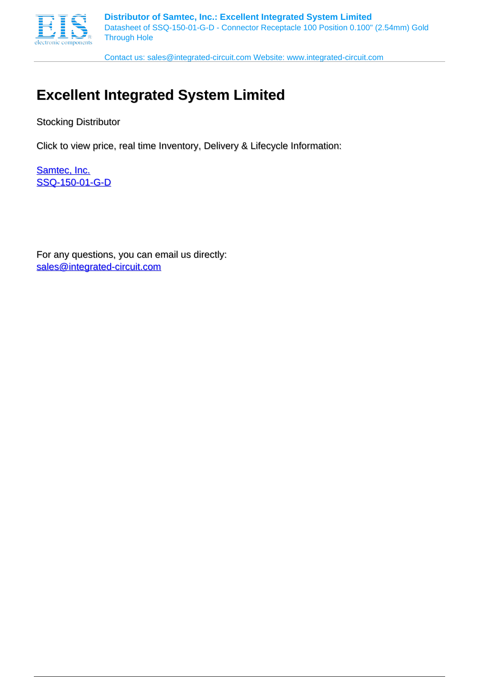

Contact us: sales@integrated-circuit.com Website: www.integrated-circuit.com

## **Excellent Integrated System Limited**

Stocking Distributor

Click to view price, real time Inventory, Delivery & Lifecycle Information:

[Samtec, Inc.](http://www.integrated-circuit.com/manufacturers/Samtec.html) [SSQ-150-01-G-D](http://www.integrated-circuit.com/tag/SSQ-150-01-G-D.html)

For any questions, you can email us directly: [sales@integrated-circuit.com](mailto:sales@integrated-circuit.com)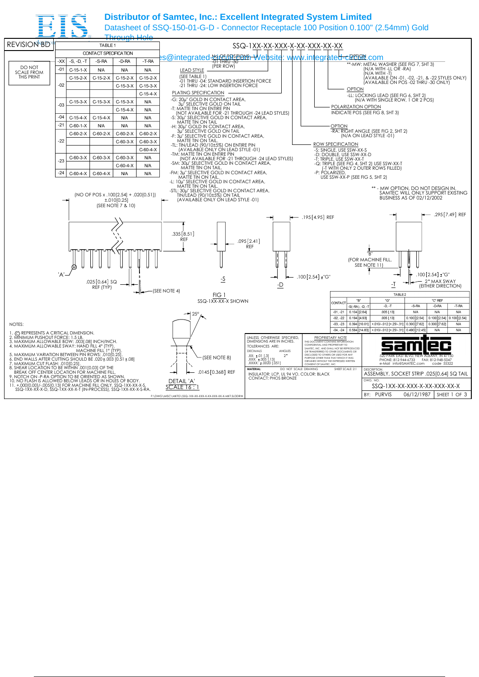## **Distributor of Samtec, Inc.: Excellent Integrated System Limited**

Datasheet of SSQ-150-01-G-D - Connector Receptacle 100 Position 0.100" (2.54mm) Gold

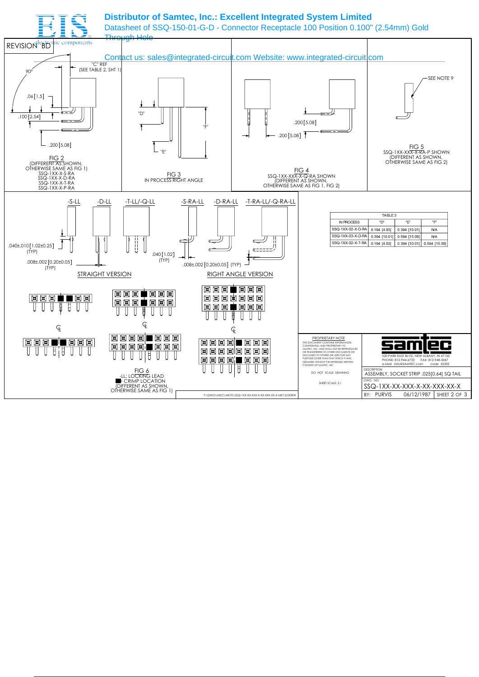## **Distributor of Samtec, Inc.: Excellent Integrated System Limited**

Datasheet of SSQ-150-01-G-D - Connector Receptacle 100 Position 0.100" (2.54mm) Gold